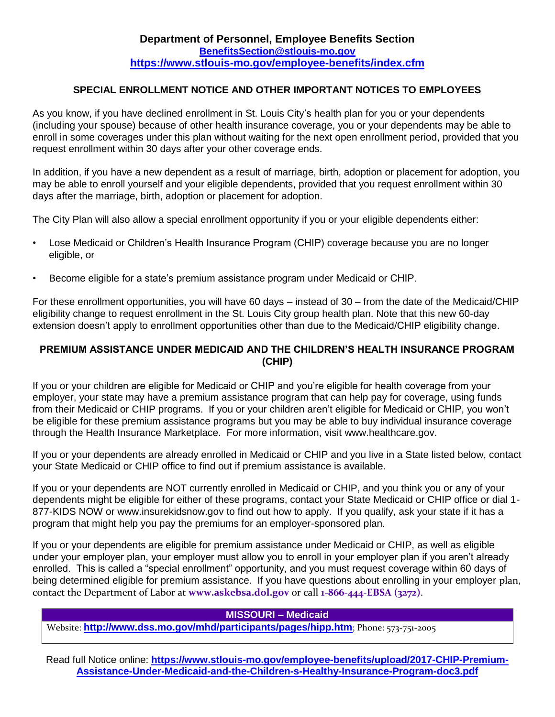## **SPECIAL ENROLLMENT NOTICE AND OTHER IMPORTANT NOTICES TO EMPLOYEES**

As you know, if you have declined enrollment in St. Louis City's health plan for you or your dependents (including your spouse) because of other health insurance coverage, you or your dependents may be able to enroll in some coverages under this plan without waiting for the next open enrollment period, provided that you request enrollment within 30 days after your other coverage ends.

In addition, if you have a new dependent as a result of marriage, birth, adoption or placement for adoption, you may be able to enroll yourself and your eligible dependents, provided that you request enrollment within 30 days after the marriage, birth, adoption or placement for adoption.

The City Plan will also allow a special enrollment opportunity if you or your eligible dependents either:

- Lose Medicaid or Children's Health Insurance Program (CHIP) coverage because you are no longer eligible, or
- Become eligible for a state's premium assistance program under Medicaid or CHIP.

For these enrollment opportunities, you will have 60 days – instead of 30 – from the date of the Medicaid/CHIP eligibility change to request enrollment in the St. Louis City group health plan. Note that this new 60-day extension doesn't apply to enrollment opportunities other than due to the Medicaid/CHIP eligibility change.

### **PREMIUM ASSISTANCE UNDER MEDICAID AND THE CHILDREN'S HEALTH INSURANCE PROGRAM (CHIP)**

If you or your children are eligible for Medicaid or CHIP and you're eligible for health coverage from your employer, your state may have a premium assistance program that can help pay for coverage, using funds from their Medicaid or CHIP programs. If you or your children aren't eligible for Medicaid or CHIP, you won't be eligible for these premium assistance programs but you may be able to buy individual insurance coverage through the Health Insurance Marketplace. For more information, visit [www.healthcare.gov.](http://www.healthcare.gov/)

If you or your dependents are already enrolled in Medicaid or CHIP and you live in a State listed below, contact your State Medicaid or CHIP office to find out if premium assistance is available.

If you or your dependents are NOT currently enrolled in Medicaid or CHIP, and you think you or any of your dependents might be eligible for either of these programs, contact your State Medicaid or CHIP office or dial 1- 877-KIDS NOW or [www.insurekidsnow.gov](http://www.insurekidsnow.gov/) to find out how to apply. If you qualify, ask your state if it has a program that might help you pay the premiums for an employer-sponsored plan.

If you or your dependents are eligible for premium assistance under Medicaid or CHIP, as well as eligible under your employer plan, your employer must allow you to enroll in your employer plan if you aren't already enrolled. This is called a "special enrollment" opportunity, and you must request coverage within 60 days of being determined eligible for premium assistance. If you have questions about enrolling in your employer plan, contact the Department of Labor at **[www.askebsa.dol.gov](http://www.askebsa.dol.gov/)** or call **1-866-444-EBSA (3272)**.

#### **MISSOURI – Medicaid**

Website: **<http://www.dss.mo.gov/mhd/participants/pages/hipp.htm>**; Phone: 573-751-2005

Read full Notice online: **[https://www.stlouis-mo.gov/employee-benefits/upload/2017-CHIP-Premium-](https://www.stlouis-mo.gov/employee-benefits/upload/2017-CHIP-Premium-Assistance-Under-Medicaid-and-the-Children-s-Healthy-Insurance-Program-doc3.pdf)[Assistance-Under-Medicaid-and-the-Children-s-Healthy-Insurance-Program-doc3.pdf](https://www.stlouis-mo.gov/employee-benefits/upload/2017-CHIP-Premium-Assistance-Under-Medicaid-and-the-Children-s-Healthy-Insurance-Program-doc3.pdf)**